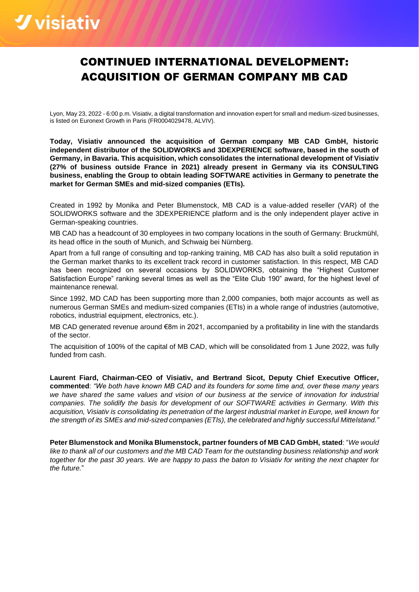# *<u>Vvisiativ*</u>

## CONTINUED INTERNATIONAL DEVELOPMENT: ACQUISITION OF GERMAN COMPANY MB CAD

Lyon, May 23, 2022 - 6:00 p.m. Visiativ, a digital transformation and innovation expert for small and medium-sized businesses, is listed on Euronext Growth in Paris (FR0004029478, ALVIV).

**Today, Visiativ announced the acquisition of German company MB CAD GmbH, historic independent distributor of the SOLIDWORKS and 3DEXPERIENCE software, based in the south of Germany, in Bavaria. This acquisition, which consolidates the international development of Visiativ (27% of business outside France in 2021) already present in Germany via its CONSULTING business, enabling the Group to obtain leading SOFTWARE activities in Germany to penetrate the market for German SMEs and mid-sized companies (ETIs).**

Created in 1992 by Monika and Peter Blumenstock, MB CAD is a value-added reseller (VAR) of the SOLIDWORKS software and the 3DEXPERIENCE platform and is the only independent player active in German-speaking countries.

MB CAD has a headcount of 30 employees in two company locations in the south of Germany: Bruckmühl, its head office in the south of Munich, and Schwaig bei Nürnberg.

Apart from a full range of consulting and top-ranking training, MB CAD has also built a solid reputation in the German market thanks to its excellent track record in customer satisfaction. In this respect, MB CAD has been recognized on several occasions by SOLIDWORKS, obtaining the "Highest Customer Satisfaction Europe" ranking several times as well as the "Elite Club 190" award, for the highest level of maintenance renewal.

Since 1992, MD CAD has been supporting more than 2,000 companies, both major accounts as well as numerous German SMEs and medium-sized companies (ETIs) in a whole range of industries (automotive, robotics, industrial equipment, electronics, etc.).

MB CAD generated revenue around €8m in 2021, accompanied by a profitability in line with the standards of the sector.

The acquisition of 100% of the capital of MB CAD, which will be consolidated from 1 June 2022, was fully funded from cash.

**Laurent Fiard, Chairman-CEO of Visiativ, and Bertrand Sicot, Deputy Chief Executive Officer, commented**: *"We both have known MB CAD and its founders for some time and, over these many years we have shared the same values and vision of our business at the service of innovation for industrial companies. The solidify the basis for development of our SOFTWARE activities in Germany. With this acquisition, Visiativ is consolidating its penetration of the largest industrial market in Europe, well known for the strength of its SMEs and mid-sized companies (ETIs), the celebrated and highly successful Mittelstand."*

**Peter Blumenstock and Monika Blumenstock, partner founders of MB CAD GmbH, stated**: "*We would like to thank all of our customers and the MB CAD Team for the outstanding business relationship and work together for the past 30 years. We are happy to pass the baton to Visiativ for writing the next chapter for the future.*"